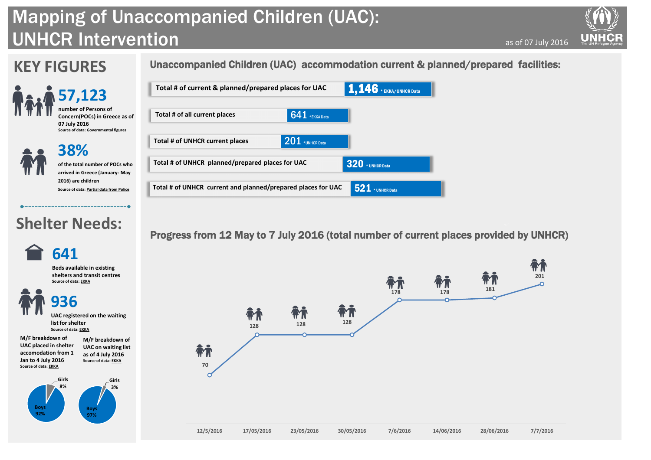## **KEY FIGURES**

# UNHCR Intervention Mapping of Unaccompanied Children (UAC):

**38% of the total number of POCs who arrived in Greece (January- May 2016) are children**

**Source of data: Partial data from Police**

as of 07 July 2016



**57,123 number of Persons of Concern(POCs) in Greece as of 07 July 2016 Source of data: Governmental figures**

### Unaccompanied Children (UAC) accommodation current & planned/prepared facilities:

## **Shelter Needs:**

**UAC placed in shelter accomodation from 1 Jan to 4 July 2016 Source of data: EKKA as of 4 July 2016 Source of data: EKKA**

### Progress from 12 May to 7 July 2016 (total number of current places provided by UNHCR)









**M/F breakdown of UAC on waiting list**